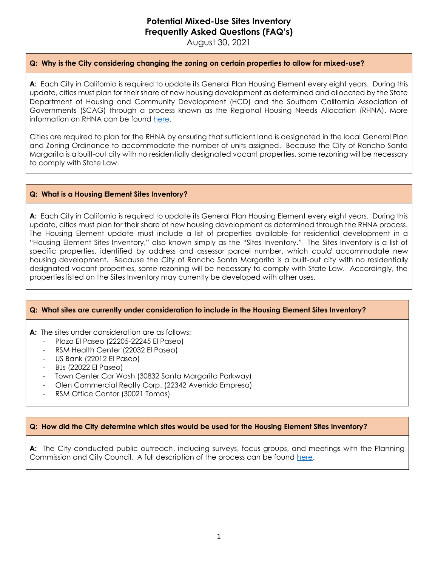# **Potential Mixed-Use Sites Inventory Frequently Asked Questions (FAQ's)**

August 30, 2021

## **Q: Why is the City considering changing the zoning on certain properties to allow for mixed-use?**

**A:** Each City in California is required to update its General Plan Housing Element every eight years. During this update, cities must plan for their share of new housing development as determined and allocated by the State Department of Housing and Community Development (HCD) and the Southern California Association of Governments (SCAG) through a process known as the Regional Housing Needs Allocation (RHNA). More information on RHNA can be found [here.](https://www.youtube.com/watch?v=00MDn3bG6VE&feature=youtu.be&mc_cid=697da57112&mc_eid=271c366d21)

Cities are required to plan for the RHNA by ensuring that sufficient land is designated in the local General Plan and Zoning Ordinance to accommodate the number of units assigned. Because the City of Rancho Santa Margarita is a built-out city with no residentially designated vacant properties, some rezoning will be necessary to comply with State Law.

#### **Q: What is a Housing Element Sites Inventory?**

**A:** Each City in California is required to update its General Plan Housing Element every eight years. During this update, cities must plan for their share of new housing development as determined through the RHNA process. The Housing Element update must include a list of properties available for residential development in a "Housing Element Sites Inventory," also known simply as the "Sites Inventory." The Sites Inventory is a list of specific properties, identified by address and assessor parcel number, which *could* accommodate new housing development. Because the City of Rancho Santa Margarita is a built-out city with no residentially designated vacant properties, some rezoning will be necessary to comply with State Law. Accordingly, the properties listed on the Sites Inventory may currently be developed with other uses.

#### **Q: What sites are currently under consideration to include in the Housing Element Sites Inventory?**

**A:** The sites under consideration are as follows:

- Plaza El Paseo (22205-22245 El Paseo)
- RSM Health Center (22032 El Paseo)
- US Bank (22012 El Paseo)
- BJs (22022 El Paseo)
- Town Center Car Wash (30832 Santa Margarita Parkway)
- Olen Commercial Realty Corp. (22342 Avenida Empresa)
- RSM Office Center (30021 Tomas)

### **Q: How did the City determine which sites would be used for the Housing Element Sites Inventory?**

**A:** The City conducted public outreach, including surveys, focus groups, and meetings with the Planning Commission and City Council. A full description of the process can be found [here.](https://cityofrsm.granicus.com/MetaViewer.php?view_id=2&event_id=281&meta_id=51177)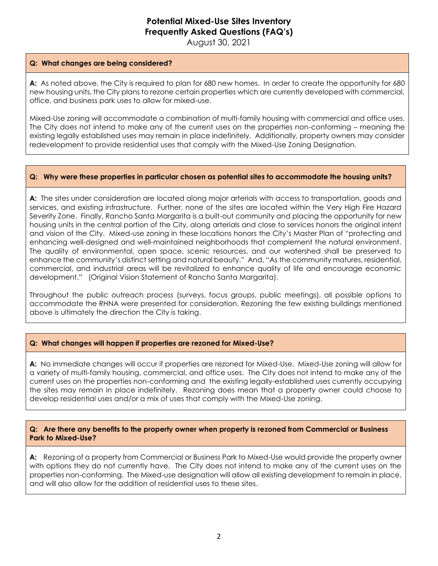# **Potential Mixed-Use Sites Inventory Frequently Asked Questions (FAQ's)**

August 30, 2021

#### **Q: What changes are being considered?**

**A:** As noted above, the City is required to plan for 680 new homes. In order to create the opportunity for 680 new housing units, the City plans to rezone certain properties which are currently developed with commercial, office, and business park uses to allow for mixed-use.

Mixed-Use zoning will accommodate a combination of multi-family housing with commercial and office uses. The City does not intend to make any of the current uses on the properties non-conforming – meaning the existing legally established uses may remain in place indefinitely. Additionally, property owners may consider redevelopment to provide residential uses that comply with the Mixed-Use Zoning Designation.

### **Q: Why were these properties in particular chosen as potential sites to accommodate the housing units?**

**A:** The sites under consideration are located along major arterials with access to transportation, goods and services, and existing infrastructure. Further, none of the sites are located within the Very High Fire Hazard Severity Zone. Finally, Rancho Santa Margarita is a built-out community and placing the opportunity for new housing units in the central portion of the City, along arterials and close to services honors the original intent and vision of the City. Mixed-use zoning in these locations honors the City's Master Plan of "protecting and enhancing well-designed and well-maintained neighborhoods that complement the natural environment. The quality of environmental, open space, scenic resources, and our watershed shall be preserved to enhance the community's distinct setting and natural beauty." And, "As the community matures, residential, commercial, and industrial areas will be revitalized to enhance quality of life and encourage economic development." (Original Vision Statement of Rancho Santa Margarita).

Throughout the public outreach process (surveys, focus groups, public meetings), all possible options to accommodate the RHNA were presented for consideration. Rezoning the few existing buildings mentioned above is ultimately the direction the City is taking.

### **Q: What changes will happen if properties are rezoned for Mixed-Use?**

**A:** No immediate changes will occur if properties are rezoned for Mixed-Use. Mixed-Use zoning will allow for a variety of multi-family housing, commercial, and office uses. The City does not intend to make any of the current uses on the properties non-conforming and the existing legally-established uses currently occupying the sites may remain in place indefinitely. Rezoning does mean that a property owner could choose to develop residential uses and/or a mix of uses that comply with the Mixed-Use zoning.

#### **Q: Are there any benefits to the property owner when property is rezoned from Commercial or Business Park to Mixed-Use?**

**A:** Rezoning of a property from Commercial or Business Park to Mixed-Use would provide the property owner with options they do not currently have. The City does not intend to make any of the current uses on the properties non-conforming. The Mixed-use designation will allow all existing development to remain in place, and will also allow for the addition of residential uses to these sites.